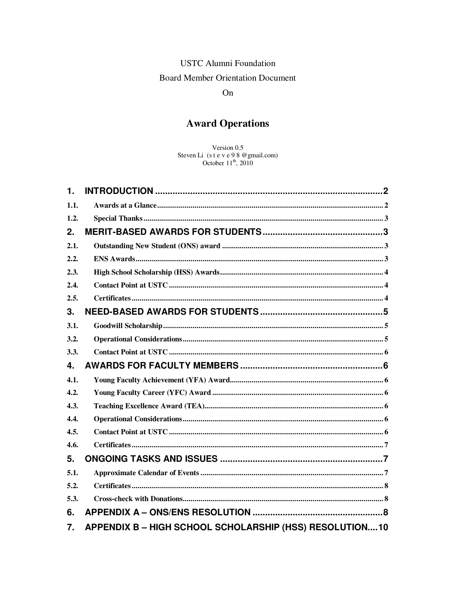# **USTC Alumni Foundation Board Member Orientation Document**

## On

# **Award Operations**

Version 0.5 Steven Li (s t e v e 9 8 @ gmail.com)<br>October  $11^{th}$ , 2010

| 1.   |  |
|------|--|
| 1.1. |  |
| 1.2. |  |
| 2.   |  |
| 2.1. |  |
| 2.2. |  |
| 2.3. |  |
| 2.4. |  |
| 2.5. |  |
| 3.   |  |
| 3.1. |  |
| 3.2. |  |
| 3.3. |  |
| 4.   |  |
| 4.1. |  |
| 4.2. |  |
| 4.3. |  |
|      |  |
| 4.4. |  |
| 4.5. |  |
| 4.6. |  |
| 5.   |  |
| 5.1. |  |
| 5.2. |  |
| 5.3. |  |
| 6.   |  |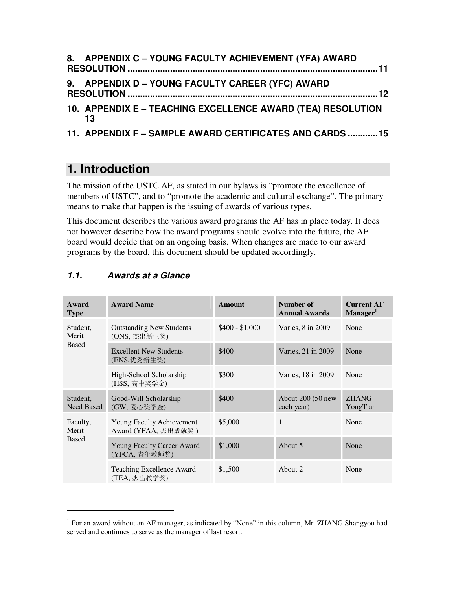| 8. APPENDIX C - YOUNG FACULTY ACHIEVEMENT (YFA) AWARD |  |
|-------------------------------------------------------|--|
| 9. APPENDIX D - YOUNG FACULTY CAREER (YFC) AWARD      |  |

**10. APPENDIX E – TEACHING EXCELLENCE AWARD (TEA) RESOLUTION 13**

```
11. APPENDIX F – SAMPLE AWARD CERTIFICATES AND CARDS ............15
```
# **1. Introduction**

The mission of the USTC AF, as stated in our bylaws is "promote the excellence of members of USTC", and to "promote the academic and cultural exchange". The primary means to make that happen is the issuing of awards of various types.

This document describes the various award programs the AF has in place today. It does not however describe how the award programs should evolve into the future, the AF board would decide that on an ongoing basis. When changes are made to our award programs by the board, this document should be updated accordingly.

| Award<br><b>Type</b>   | <b>Award Name</b>                                | <b>Amount</b>   | Number of<br><b>Annual Awards</b> | <b>Current AF</b><br>Manager <sup>1</sup> |
|------------------------|--------------------------------------------------|-----------------|-----------------------------------|-------------------------------------------|
| Student,<br>Merit      | <b>Outstanding New Students</b><br>(ONS, 杰出新生奖)  | $$400 - $1,000$ | Varies, 8 in 2009                 | None                                      |
| <b>Based</b>           | <b>Excellent New Students</b><br>(ENS,优秀新生奖)     | \$400           | Varies, 21 in 2009                | None                                      |
|                        | High-School Scholarship<br>(HSS, 高中奖学金)          | \$300           | Varies, 18 in 2009                | None                                      |
| Student,<br>Need Based | Good-Will Scholarship<br>(GW, 爱心奖学金)             | \$400           | About $200(50)$ new<br>each year) | <b>ZHANG</b><br>YongTian                  |
| Faculty,<br>Merit      | Young Faculty Achievement<br>Award (YFAA, 杰出成就奖) | \$5,000         | 1                                 | None                                      |
| <b>Based</b>           | Young Faculty Career Award<br>(YFCA, 青年教师奖)      | \$1,000         | About 5                           | None                                      |
|                        | Teaching Excellence Award<br>(TEA, 杰出教学奖)        | \$1,500         | About 2                           | None                                      |

## **1.1. Awards at a Glance**

 $\overline{a}$ 

<sup>&</sup>lt;sup>1</sup> For an award without an AF manager, as indicated by "None" in this column, Mr. ZHANG Shangyou had served and continues to serve as the manager of last resort.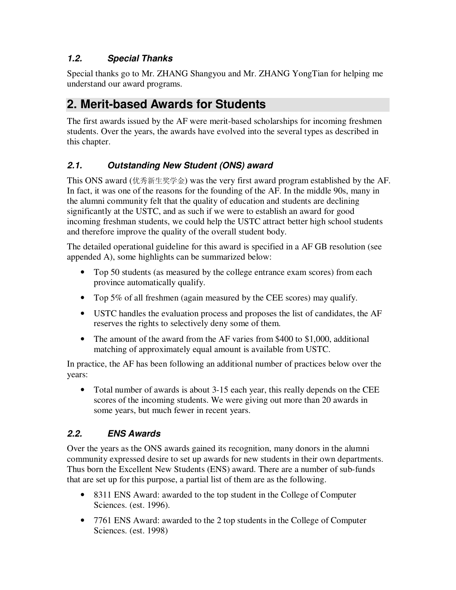# **1.2. Special Thanks**

Special thanks go to Mr. ZHANG Shangyou and Mr. ZHANG YongTian for helping me understand our award programs.

# **2. Merit-based Awards for Students**

The first awards issued by the AF were merit-based scholarships for incoming freshmen students. Over the years, the awards have evolved into the several types as described in this chapter.

# **2.1. Outstanding New Student (ONS) award**

This ONS award (优秀新生奖学金) was the very first award program established by the AF. In fact, it was one of the reasons for the founding of the AF. In the middle 90s, many in the alumni community felt that the quality of education and students are declining significantly at the USTC, and as such if we were to establish an award for good incoming freshman students, we could help the USTC attract better high school students and therefore improve the quality of the overall student body.

The detailed operational guideline for this award is specified in a AF GB resolution (see appended A), some highlights can be summarized below:

- Top 50 students (as measured by the college entrance exam scores) from each province automatically qualify.
- Top 5% of all freshmen (again measured by the CEE scores) may qualify.
- USTC handles the evaluation process and proposes the list of candidates, the AF reserves the rights to selectively deny some of them.
- The amount of the award from the AF varies from \$400 to \$1,000, additional matching of approximately equal amount is available from USTC.

In practice, the AF has been following an additional number of practices below over the years:

• Total number of awards is about 3-15 each year, this really depends on the CEE scores of the incoming students. We were giving out more than 20 awards in some years, but much fewer in recent years.

### **2.2. ENS Awards**

Over the years as the ONS awards gained its recognition, many donors in the alumni community expressed desire to set up awards for new students in their own departments. Thus born the Excellent New Students (ENS) award. There are a number of sub-funds that are set up for this purpose, a partial list of them are as the following.

- 8311 ENS Award: awarded to the top student in the College of Computer Sciences. (est. 1996).
- 7761 ENS Award: awarded to the 2 top students in the College of Computer Sciences. (est. 1998)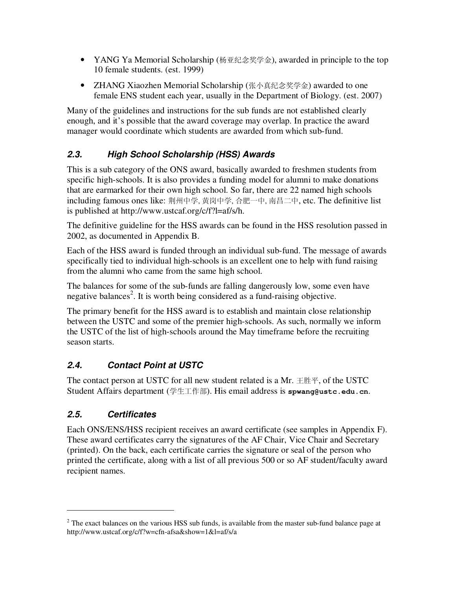- YANG Ya Memorial Scholarship (杨亚纪念奖学金), awarded in principle to the top 10 female students. (est. 1999)
- **ZHANG Xiaozhen Memorial Scholarship** (张小真纪念奖学金) awarded to one female ENS student each year, usually in the Department of Biology. (est. 2007)

Many of the guidelines and instructions for the sub funds are not established clearly enough, and it's possible that the award coverage may overlap. In practice the award manager would coordinate which students are awarded from which sub-fund.

# **2.3. High School Scholarship (HSS) Awards**

This is a sub category of the ONS award, basically awarded to freshmen students from specific high-schools. It is also provides a funding model for alumni to make donations that are earmarked for their own high school. So far, there are 22 named high schools including famous ones like: 荆州中学, 黄岗中学, 合肥一中, 南昌二中, etc. The definitive list is published at http://www.ustcaf.org/c/f?l=af/s/h.

The definitive guideline for the HSS awards can be found in the HSS resolution passed in 2002, as documented in Appendix B.

Each of the HSS award is funded through an individual sub-fund. The message of awards specifically tied to individual high-schools is an excellent one to help with fund raising from the alumni who came from the same high school.

The balances for some of the sub-funds are falling dangerously low, some even have negative balances<sup>2</sup>. It is worth being considered as a fund-raising objective.

The primary benefit for the HSS award is to establish and maintain close relationship between the USTC and some of the premier high-schools. As such, normally we inform the USTC of the list of high-schools around the May timeframe before the recruiting season starts.

# **2.4. Contact Point at USTC**

The contact person at USTC for all new student related is a Mr. 王胜平, of the USTC Student Affairs department (学生工作部). His email address is **spwang@ustc.edu.cn**.

# **2.5. Certificates**

-

Each ONS/ENS/HSS recipient receives an award certificate (see samples in Appendix F). These award certificates carry the signatures of the AF Chair, Vice Chair and Secretary (printed). On the back, each certificate carries the signature or seal of the person who printed the certificate, along with a list of all previous 500 or so AF student/faculty award recipient names.

 $2^2$  The exact balances on the various HSS sub funds, is available from the master sub-fund balance page at http://www.ustcaf.org/c/f?w=cfn-afsa&show=1&l=af/s/a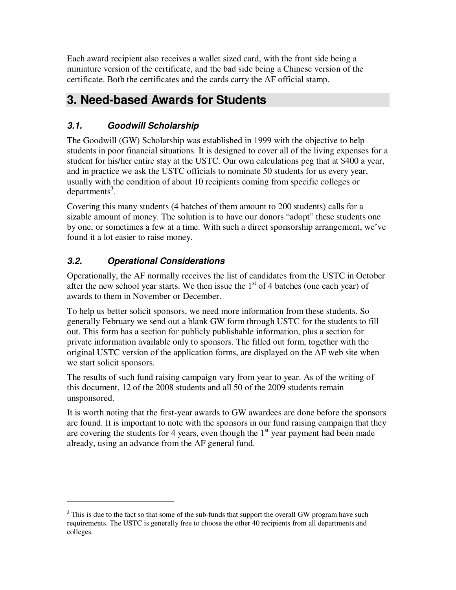Each award recipient also receives a wallet sized card, with the front side being a miniature version of the certificate, and the bad side being a Chinese version of the certificate. Both the certificates and the cards carry the AF official stamp.

# **3. Need-based Awards for Students**

# **3.1. Goodwill Scholarship**

The Goodwill (GW) Scholarship was established in 1999 with the objective to help students in poor financial situations. It is designed to cover all of the living expenses for a student for his/her entire stay at the USTC. Our own calculations peg that at \$400 a year, and in practice we ask the USTC officials to nominate 50 students for us every year, usually with the condition of about 10 recipients coming from specific colleges or  $departments<sup>3</sup>$ .

Covering this many students (4 batches of them amount to 200 students) calls for a sizable amount of money. The solution is to have our donors "adopt" these students one by one, or sometimes a few at a time. With such a direct sponsorship arrangement, we've found it a lot easier to raise money.

# **3.2. Operational Considerations**

 $\overline{a}$ 

Operationally, the AF normally receives the list of candidates from the USTC in October after the new school year starts. We then issue the  $1<sup>st</sup>$  of 4 batches (one each year) of awards to them in November or December.

To help us better solicit sponsors, we need more information from these students. So generally February we send out a blank GW form through USTC for the students to fill out. This form has a section for publicly publishable information, plus a section for private information available only to sponsors. The filled out form, together with the original USTC version of the application forms, are displayed on the AF web site when we start solicit sponsors.

The results of such fund raising campaign vary from year to year. As of the writing of this document, 12 of the 2008 students and all 50 of the 2009 students remain unsponsored.

It is worth noting that the first-year awards to GW awardees are done before the sponsors are found. It is important to note with the sponsors in our fund raising campaign that they are covering the students for 4 years, even though the  $1<sup>st</sup>$  year payment had been made already, using an advance from the AF general fund.

 $3$  This is due to the fact so that some of the sub-funds that support the overall GW program have such requirements. The USTC is generally free to choose the other 40 recipients from all departments and colleges.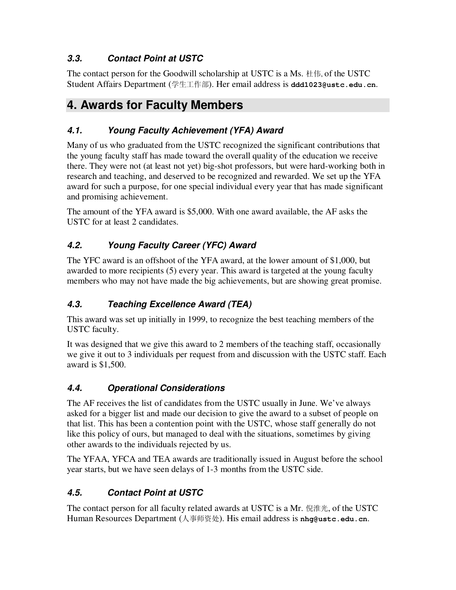# **3.3. Contact Point at USTC**

The contact person for the Goodwill scholarship at USTC is a Ms. 杜伟, of the USTC Student Affairs Department (学生工作部). Her email address is **ddd1023@ustc.edu.cn**.

# **4. Awards for Faculty Members**

# **4.1. Young Faculty Achievement (YFA) Award**

Many of us who graduated from the USTC recognized the significant contributions that the young faculty staff has made toward the overall quality of the education we receive there. They were not (at least not yet) big-shot professors, but were hard-working both in research and teaching, and deserved to be recognized and rewarded. We set up the YFA award for such a purpose, for one special individual every year that has made significant and promising achievement.

The amount of the YFA award is \$5,000. With one award available, the AF asks the USTC for at least 2 candidates.

# **4.2. Young Faculty Career (YFC) Award**

The YFC award is an offshoot of the YFA award, at the lower amount of \$1,000, but awarded to more recipients (5) every year. This award is targeted at the young faculty members who may not have made the big achievements, but are showing great promise.

# **4.3. Teaching Excellence Award (TEA)**

This award was set up initially in 1999, to recognize the best teaching members of the USTC faculty.

It was designed that we give this award to 2 members of the teaching staff, occasionally we give it out to 3 individuals per request from and discussion with the USTC staff. Each award is \$1,500.

# **4.4. Operational Considerations**

The AF receives the list of candidates from the USTC usually in June. We've always asked for a bigger list and made our decision to give the award to a subset of people on that list. This has been a contention point with the USTC, whose staff generally do not like this policy of ours, but managed to deal with the situations, sometimes by giving other awards to the individuals rejected by us.

The YFAA, YFCA and TEA awards are traditionally issued in August before the school year starts, but we have seen delays of 1-3 months from the USTC side.

# **4.5. Contact Point at USTC**

The contact person for all faculty related awards at USTC is a Mr. 倪淮光, of the USTC Human Resources Department (人事师资处). His email address is **nhg@ustc.edu.cn**.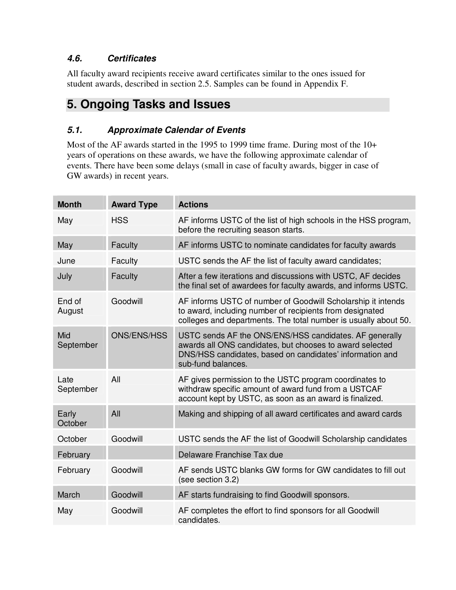### **4.6. Certificates**

All faculty award recipients receive award certificates similar to the ones issued for student awards, described in section 2.5. Samples can be found in Appendix F.

# **5. Ongoing Tasks and Issues**

### **5.1. Approximate Calendar of Events**

Most of the AF awards started in the 1995 to 1999 time frame. During most of the 10+ years of operations on these awards, we have the following approximate calendar of events. There have been some delays (small in case of faculty awards, bigger in case of GW awards) in recent years.

| <b>Month</b>      | <b>Award Type</b>  | <b>Actions</b>                                                                                                                                                                                       |
|-------------------|--------------------|------------------------------------------------------------------------------------------------------------------------------------------------------------------------------------------------------|
| May               | <b>HSS</b>         | AF informs USTC of the list of high schools in the HSS program,<br>before the recruiting season starts.                                                                                              |
| May               | Faculty            | AF informs USTC to nominate candidates for faculty awards                                                                                                                                            |
| June              | Faculty            | USTC sends the AF the list of faculty award candidates;                                                                                                                                              |
| July              | Faculty            | After a few iterations and discussions with USTC, AF decides<br>the final set of awardees for faculty awards, and informs USTC.                                                                      |
| End of<br>August  | Goodwill           | AF informs USTC of number of Goodwill Scholarship it intends<br>to award, including number of recipients from designated<br>colleges and departments. The total number is usually about 50.          |
| Mid<br>September  | <b>ONS/ENS/HSS</b> | USTC sends AF the ONS/ENS/HSS candidates. AF generally<br>awards all ONS candidates, but chooses to award selected<br>DNS/HSS candidates, based on candidates' information and<br>sub-fund balances. |
| Late<br>September | All                | AF gives permission to the USTC program coordinates to<br>withdraw specific amount of award fund from a USTCAF<br>account kept by USTC, as soon as an award is finalized.                            |
| Early<br>October  | All                | Making and shipping of all award certificates and award cards                                                                                                                                        |
| October           | Goodwill           | USTC sends the AF the list of Goodwill Scholarship candidates                                                                                                                                        |
| February          |                    | Delaware Franchise Tax due                                                                                                                                                                           |
| February          | Goodwill           | AF sends USTC blanks GW forms for GW candidates to fill out<br>(see section 3.2)                                                                                                                     |
| March             | Goodwill           | AF starts fundraising to find Goodwill sponsors.                                                                                                                                                     |
| May               | Goodwill           | AF completes the effort to find sponsors for all Goodwill<br>candidates.                                                                                                                             |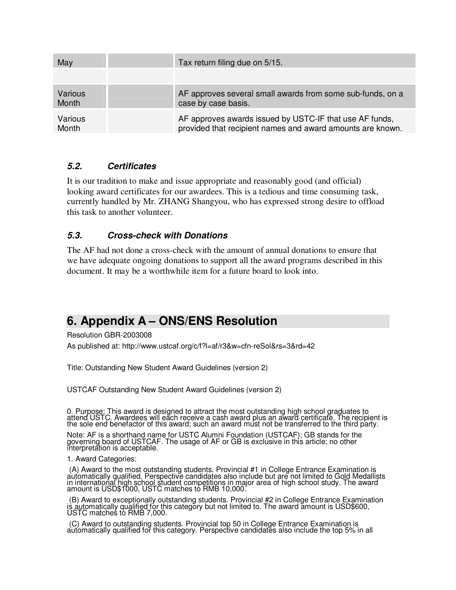| May     | Tax return filing due on 5/15.                             |
|---------|------------------------------------------------------------|
|         |                                                            |
| Various | AF approves several small awards from some sub-funds, on a |
| Month   | case by case basis.                                        |
| Various | AF approves awards issued by USTC-IF that use AF funds,    |
| Month   | provided that recipient names and award amounts are known. |

### **5.2. Certificates**

It is our tradition to make and issue appropriate and reasonably good (and official) looking award certificates for our awardees. This is a tedious and time consuming task, currently handled by Mr. ZHANG Shangyou, who has expressed strong desire to offload this task to another volunteer.

### **5.3. Cross-check with Donations**

The AF had not done a cross-check with the amount of annual donations to ensure that we have adequate ongoing donations to support all the award programs described in this document. It may be a worthwhile item for a future board to look into.

# **6. Appendix A – ONS/ENS Resolution**

Resolution GBR-2003008

As published at: http://www.ustcaf.org/c/f?l=af/r3&w=cfn-reSol&rs=3&rd=42

Title: Outstanding New Student Award Guidelines (version 2)

USTCAF Outstanding New Student Award Guidelines (version 2)

0. Purpose: This award is designed to attract the most outstanding high school graduates to attend USTC. Awardees will each receive a cash award plus an award certificate. The recipient is the sole end benefactor of this award; such an award must not be transferred to the third party.

Note: AF is a shorthand name for USTC Alumni Foundation (USTCAF); GB stands for the governing board of USTCAF. The usage of AF or GB is exclusive in this article; no other interpretation is acceptable.

### 1. Award Categories:

 (A) Award to the most outstanding students. Provincial #1 in College Entrance Examination is automatically qualified. Perspective candidates also include but are not limited to Gold Medallists in international high school student competitions in major area of high school study. The award amount is USD\$1000, USTC matches to RMB 10,000.

 (B) Award to exceptionally outstanding students. Provincial #2 in College Entrance Examination is automatically qualified for this category but not limited to. The award amount is USD\$600, USTC matches to RMB 7,000.

 (C) Award to outstanding students. Provincial top 50 in College Entrance Examination is automatically qualified for this category. Perspective candidates also include the top 5% in all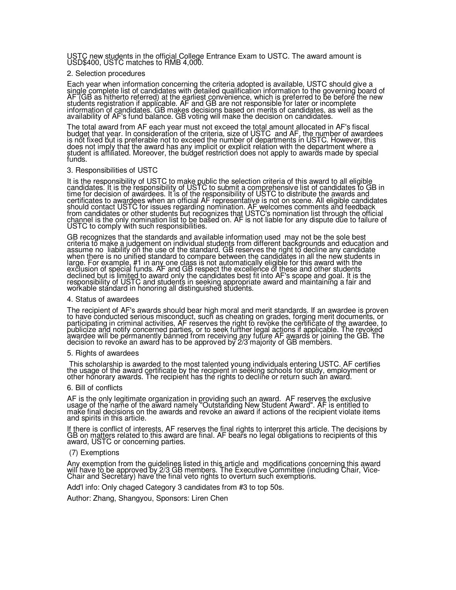USTC new students in the official College Entrance Exam to USTC. The award amount is USD\$400, USTC matches to RMB 4,000.

### 2. Selection procedures

Each year when information concerning the criteria adopted is available, USTC should give a single complete list of candidates with detailed qualification information to the governing board of AF (GB as hitherto referred) at the earliest convenience, which is preferred to be before the new students registration if applicable. AF and GB are not responsible for later or incomplete information of candidates. GB makes decisions based on merits of candidates, as well as the availability of AF's fund balance. GB voting will make the decision on candidates.

The total award from AF each year must not exceed the total amount allocated in AF's fiscal budget that year. In consideration of the criteria, size of USTC and AF, the number of awardees is not fixed but is preferable not to exceed the number of departments in USTC. However, this does not imply that the award has any implicit or explicit relation with the department where a student is affiliated. Moreover, the budget restriction does not apply to awards made by special funds.

#### 3. Responsibilities of USTC

It is the responsibility of USTC to make public the selection criteria of this award to all eligible candidates. It is the responsibility of USTC to submit a comprehensive list of candidates to GB in time for decision of awardees. It is of the responsibility of USTC to distribute the awards and certificates to awardees when an official AF representative is not on scene. All eligible candidates should contact USTC for issues regarding nomination. AF welcomes comments and feedback from candidates or other students but recognizes that USTC's nomination list through the official channel is the only nomination list to be based on. AF is not liable for any dispute due to failure of USTC to comply with such responsibilities.

GB recognizes that the standards and available information used may not be the sole best criteria to make a judgement on individual students from different backgrounds and education and assume no liability on the use of the standard. GB reserves the right to decline any candidate when there is no unified standard to compare between the candidates in all the new students in large. For example, #1 in any one class is not automatically eligible for this award with the exclusion of special funds. AF and GB respect the excellence of these and other students declined but is limited to award only the candidates best fit into AF's scope and goal. It is the responsibility of USTC and students in seeking appropriate award and maintaining a fair and workable standard in honoring all distinguished students.

#### 4. Status of awardees

The recipient of AF's awards should bear high moral and merit standards. If an awardee is proven to have conducted serious misconduct, such as cheating on grades, forging merit documents, or participating in criminal activities, AF reserves the right to revoke the certificate of the awardee, to publicize and notify concerned parties, or to seek further legal actions if applicable. The revoked awardee will be permanently banned from receiving any future AF awards or joining the GB. The decision to revoke an award has to be approved by 2/3 majority of GB members.

#### 5. Rights of awardees

This scholarship is awarded to the most talented young individuals entering USTC. AF certifies the usage of the award certificate by the recipient in seeking schools for study, employment or other honorary awards. The recipient has the rights to decline or return such an award.

#### 6. Bill of conflicts

AF is the only legitimate organization in providing such an award. AF reserves the exclusive usage of the name of the award namely "Outstanding New Student Award". AF is entitled to make final decisions on the awards and revoke an award if actions of the recipient violate items and spirits in this article.

If there is conflict of interests, AF reserves the final rights to interpret this article. The decisions by GB on matters related to this award are final. AF bears no legal obligations to recipients of this award, USTC or concerning parties.

### (7) Exemptions

Any exemption from the guidelines listed in this article and modifications concerning this award will have to be approved by 2/3 GB members. The Executive Committee (including Chair, Vice-Chair and Secretary) have the final veto rights to overturn such exemptions.

Add'l info: Only chaged Category 3 candidates from #3 to top 50s.

Author: Zhang, Shangyou, Sponsors: Liren Chen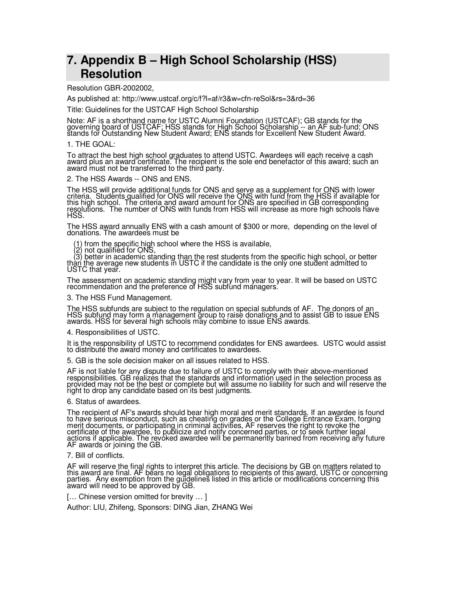# **7. Appendix B – High School Scholarship (HSS) Resolution**

Resolution GBR-2002002,

As published at: http://www.ustcaf.org/c/f?l=af/r3&w=cfn-reSol&rs=3&rd=36

Title: Guidelines for the USTCAF High School Scholarship

Note: AF is a shorthand name for USTC Alumni Foundation (USTCAF); GB stands for the governing board of USTCAF; HSS stands for High School Scholarship -- an AF sub-fund; ONS stands for Outstanding New Student Award; ENS stands for Excellent New Student Award.

### 1. THE GOAL:

To attract the best high school graduates to attend USTC. Awardees will each receive a cash award plus an award certificate. The recipient is the sole end benefactor of this award; such an award must not be transferred to the third party.

2. The HSS Awards -- ONS and ENS.

The HSS will provide additional funds for ONS and serve as a supplement for ONS with lower criteria. Students qualified for ONS will receive the ONS with fund from the HSS if available for this high school. The criteria and award amount for ONS are specified in GB corresponding resolutions. The number of ONS with funds from HSS will increase as more high schools have HSS.

The HSS award annually ENS with a cash amount of \$300 or more, depending on the level of donations. The awardees must be

(1) from the specific high school where the HSS is available,

(2) not qualified for ONS,

 (3) better in academic standing than the rest students from the specific high school, or better th<u>àn t</u>he average new students in USTC if the candidate is the only one student admitted to USTC that year.

The assessment on academic standing might vary from year to year. It will be based on USTC recommendation and the preference of HSS subfund managers.

### 3. The HSS Fund Management.

The HSS subfunds are subject to the regulation on special subfunds of AF. The donors of an HSS subfund may form a management group to raise donations and to assist GB to issue ENS awards. HSS for several high schools may combine to issue ENS awards.

4. Responsibilities of USTC.

It is the responsibility of USTC to recommend condidates for ENS awardees. USTC would assist to distribute the award money and certificates to awardees.

5. GB is the sole decision maker on all issues related to HSS.

AF is not liable for any dispute due to failure of USTC to comply with their above-mentioned responsibilities. GB realizes that the standards and information used in the selection process as provided may not be the best or complete but will assume no liability for such and will reserve the right to drop any candidate based on its best judgments.

### 6. Status of awardees.

The recipient of AF's awards should bear high moral and merit standards. If an awardee is found to have serious misconduct, such as cheating on grades or the College Entrance Exam, forging merit documents, or participating in criminal activities, AF reserves the right to revoke the certificate of the awardee, to publicize and notify concerned parties, or to seek further legal actions if applicable. The revoked awardee will be permanently banned from receiving any future AF awards or joining the GB.

### 7. Bill of conflicts.

AF will reserve the final rights to interpret this article. The decisions by GB on matters related to this award are final. AF bears no legal obligations to recipients of this award, USTC or concerning parties. Any exemption from the guidelines listed in this article or modifications concerning this award will need to be approved by GB.

[... Chinese version omitted for brevity ... ]

Author: LIU, Zhifeng, Sponsors: DING Jian, ZHANG Wei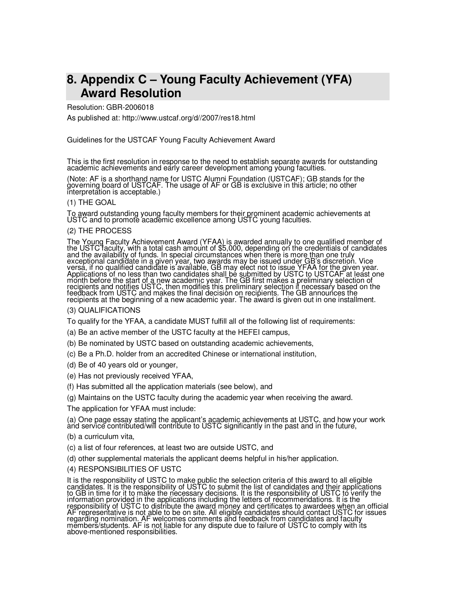# **8. Appendix C – Young Faculty Achievement (YFA) Award Resolution**

### Resolution: GBR-2006018

As published at: http://www.ustcaf.org/d//2007/res18.html

Guidelines for the USTCAF Young Faculty Achievement Award

This is the first resolution in response to the need to establish separate awards for outstanding academic achievements and early career development among young faculties.

(Note: AF is a shorthand name for USTC Alumni Foundation (USTCAF); GB stands for the governing board of USTCAF. The usage of AF or GB is exclusive in this article; no other interpretation is acceptable.)

### (1) THE GOAL

To award outstanding young faculty members for their prominent academic achievements at USTC and to promote academic excellence among USTC young faculties.

### (2) THE PROCESS

The Young Faculty Achievement Award (YFAA) is awarded annually to one qualified member of the USTC faculty, with a total cash amount of \$5,000, depending on the credentials of candidates and the availability of funds. In special circumstances when there is more than one truly exceptional candidate in a given year, two awards may be issued under GB's discretion. Vice versa, if no qualified candidate is available, GB may elect not to issue YFAA for the given year. Applications of no less than two candidates shall be submitted by USTC to USTCAF at least one month before the start of a new academic year. The GB first makes a preliminary selection of recipients and notifies USTC, then modifies this preliminary selection if necessary based on the feedback from USTC and makes the final decision on recipients. The GB announces the recipients at the beginning of a new academic year. The award is given out in one installment.

### (3) QUALIFICATIONS

To qualify for the YFAA, a candidate MUST fulfill all of the following list of requirements:

- (a) Be an active member of the USTC faculty at the HEFEI campus,
- (b) Be nominated by USTC based on outstanding academic achievements,
- (c) Be a Ph.D. holder from an accredited Chinese or international institution,
- (d) Be of 40 years old or younger,
- (e) Has not previously received YFAA,
- (f) Has submitted all the application materials (see below), and
- (g) Maintains on the USTC faculty during the academic year when receiving the award.

The application for YFAA must include:

(a) One page essay stating the applicant's academic achievements at USTC, and how your work ànd service contributed/will contribute to USTC significantly in the past and in the future,

- (b) a curriculum vita,
- (c) a list of four references, at least two are outside USTC, and
- (d) other supplemental materials the applicant deems helpful in his/her application.

### (4) RESPONSIBILITIES OF USTC

It is the responsibility of USTC to make public the selection criteria of this award to all eligible candidates. It is the responsibility of USTC to submit the list of candidates and their applications to GB in time for it to make the necessary decisions. It is the responsibility of USTC to verify the information provided in the applications including the letters of recommendations. It is the responsibility of USTC to distribute the award money and certificates to awardees when an official AF representative is not able to be on site. All eligible candidates should contact USTC for issues regarding nomination. AF welcomes comments and feedback from candidates and faculty members/students. AF is not liable for any dispute due to failure of USTC to comply with its above-mentioned responsibilities.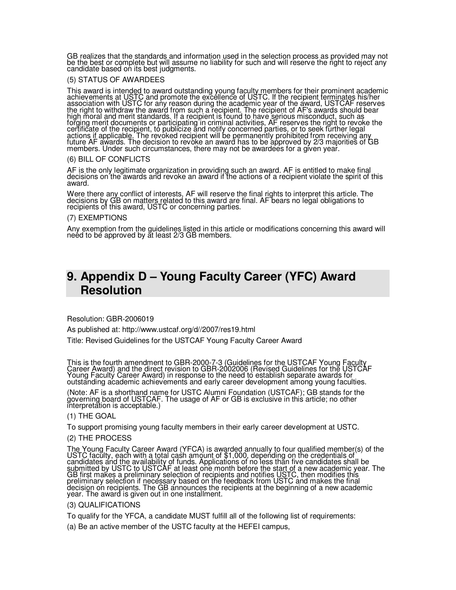GB realizes that the standards and information used in the selection process as provided may not be the best or complete but will assume no liability for such and will reserve the right to reject any candidate based on its best judgments.

### (5) STATUS OF AWARDEES

This award is intended to award outstanding young faculty members for their prominent academic achievements at USTC and promote the excellence of USTC. If the recipient terminates his/her association with USTC for any reason during the academic year of the award, USTCAF reserves the right to withdraw the award from such a recipient. The recipient of AF's awards should bear high moral and merit standards. If a recipient is found to have serious misconduct, such as forging merit documents or participating in criminal activities, AF reserves the right to revoke the certificate of the recipient, to publicize and notify concerned parties, or to seek further legal actions if applicable. The revoked recipient will be permanently prohibited from receiving any future AF awards. The decision to revoke an award has to be approved by 2/3 majorities of GB members. Under such circumstances, there may not be awardees for a given year.

### (6) BILL OF CONFLICTS

AF is the only legitimate organization in providing such an award. AF is entitled to make final decisions on the awards and revoke an award if the actions of a recipient violate the spirit of this award.

Were there any conflict of interests, AF will reserve the final rights to interpret this article. The decisions by GB on matters related to this award are final. AF bears no legal obligations to recipients of this award, USTC or concerning parties.

### (7) EXEMPTIONS

Any exemption from the guidelines listed in this article or modifications concerning this award will neéd to be approved by ăt least 2/3 GB members.

# **9. Appendix D – Young Faculty Career (YFC) Award Resolution**

Resolution: GBR-2006019

As published at: http://www.ustcaf.org/d//2007/res19.html

Title: Revised Guidelines for the USTCAF Young Faculty Career Award

This is the fourth amendment to GBR-2000-7-3 (Guidelines for the USTCAF Young Faculty Career Award) and the direct revision to GBR-2002006 (Revised Guidelines for the USTCAF Young Faculty Career Award) in response to the need to establish separate awards for outstanding academic achievements and early career development among young faculties.

(Note: AF is a shorthand name for USTC Alumni Foundation (USTCAF); GB stands for the governing board of USTCAF. The usage of AF or GB is exclusive in this article; no other interpretation is acceptable.)

(1) THE GOAL

To support promising young faculty members in their early career development at USTC.

### (2) THE PROCESS

The Young Faculty Career Award (YFCA) is awarded annually to four qualified member(s) of the USTC faculty, each with a total cash amount of \$1,000, depending on the credentials of candidates and <u>the</u> avail<u>ability o</u>f funds. Applications of no less than five candidates shall be submitted by USTC to USTCAF at least one month before the start of a new academic year. The GB first makes a preliminary selection of recipients and notifies USTC, then modifies this preliminary selection if necessary based on the feedback from USTC and makes the final decision on recipients. The GB announces the recipients at the beginning of a new academic year. The award is given out in one installment.

(3) QUALIFICATIONS

To qualify for the YFCA, a candidate MUST fulfill all of the following list of requirements:

(a) Be an active member of the USTC faculty at the HEFEI campus,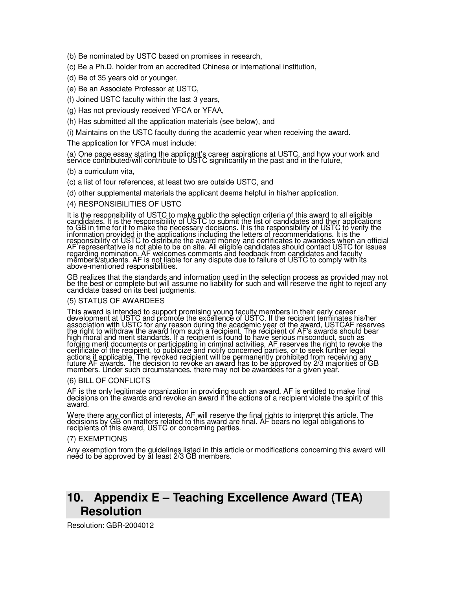(b) Be nominated by USTC based on promises in research,

- (c) Be a Ph.D. holder from an accredited Chinese or international institution,
- (d) Be of 35 years old or younger,
- (e) Be an Associate Professor at USTC,

(f) Joined USTC faculty within the last 3 years,

(g) Has not previously received YFCA or YFAA,

(h) Has submitted all the application materials (see below), and

(i) Maintains on the USTC faculty during the academic year when receiving the award.

The application for YFCA must include:

(a) One page essay stating the applicant's career aspirations at USTC, and how your work and service contributed/will contribute to USTC significantly in the past and in the future,

(b) a curriculum vita,

- (c) a list of four references, at least two are outside USTC, and
- (d) other supplemental materials the applicant deems helpful in his/her application.

(4) RESPONSIBILITIES OF USTC

It is the responsibility of USTC to make public the selection criteria of this award to all eligible candidates. It is the responsibility of USTC to submit the list of candidates and their applications to GB in time for it to make the necessary decisions. It is the responsibility of USTC to verify the information provided in the applications including the letters of recommendations. It is the responsibility of USTC to distribute the award money and certificates to awardees when an official AF representative is not able to be on site. All eligible candidates should contact USTC for issues regarding nomination. AF welcomes comments and feedback from candidates and faculty mĕmberš/students. AF is not liable for any dispute due to failure of USTC to comply with its above-mentioned responsibilities.

GB realizes that the standards and information used in the selection process as provided may not be the best or complete but will assume no liability for such and will reserve the right to reject any candidate based on its best judgments.

### (5) STATUS OF AWARDEES

This award is intended to support promising young faculty members in their early career development at USTC and promote the excellence of USTC. If the recipient terminates his/her association with USTC for any reason during the academic year of the award, USTCAF reserves the right to withdraw the award from such a recipient. The recipient of AF's awards should bear high moral and merit standards. If a recipient is found to have serious misconduct, such as forging merit documents or participating in criminal activities, AF reserves the right to revoke the certificate of the recipient, to publicize and notify concerned parties, or to seek further legal actions if applicable. The revoked recipient will be permanently prohibited from receiving any future AF awards. The decision to revoke an award has to be approved by 2/3 majorities of GB members. Under such circumstances, there may not be awardees for a given year.

### (6) BILL OF CONFLICTS

AF is the only legitimate organization in providing such an award. AF is entitled to make final decisions on the awards and revoke an award if the actions of a recipient violate the spirit of this award.

Were there any conflict of interests, AF will reserve the final rights to interpret this article. The decisions by GB on matters related to this award are final. AF bears no legal obligations to recipients of this award, USTC or concerning parties.

### (7) EXEMPTIONS

Any exemption from the guidelines listed in this article or modifications concerning this award will neéd to be approved by ăt least 2/3 GB members.

# **10. Appendix E – Teaching Excellence Award (TEA) Resolution**

Resolution: GBR-2004012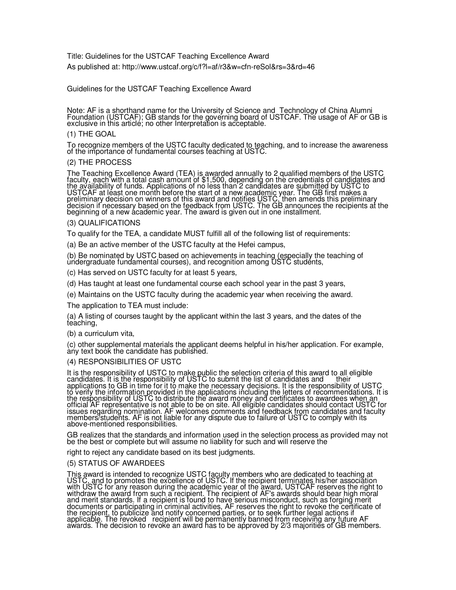Title: Guidelines for the USTCAF Teaching Excellence Award As published at: http://www.ustcaf.org/c/f?l=af/r3&w=cfn-reSol&rs=3&rd=46

Guidelines for the USTCAF Teaching Excellence Award

Note: AF is a shorthand name for the University of Science and Technology of China Alumni Foundation (USTCAF); GB stands for the governing board of USTCAF. The usage of AF or GB is exclusive in this article; no other Interpretation is acceptable.

### (1) THE GOAL

To recognize members of the USTC faculty dedicated to teaching, and to increase the awareness of the importance of fundamental courses teaching at USTC.

### (2) THE PROCESS

The Teaching Excellence Award (TEA) is awarded annually to 2 qualified members of the USTC faculty, each with a total cash amount of \$1,500, depending on the credentials of candidates and the availability of funds. Applications of no less than 2 candidates are submitted by USTC to USTCAF at least one month before the start of a new academic year. The GB first makes a preliminary decision on winners of this award and notifies USTC, then amends this preliminary decision if necessary based on the feedback from USTC. The GB announces the recipients at the beginning of a new ácademic year. The award is given out in one installment.

### (3) QUALIFICATIONS

To qualify for the TEA, a candidate MUST fulfill all of the following list of requirements:

(a) Be an active member of the USTC faculty at the Hefei campus,

(b) Be nominated by USTC based on achievements in teaching (especially the teaching of ùndergraduate fundamental courses), and recognition among USTC students,

(c) Has served on USTC faculty for at least 5 years,

(d) Has taught at least one fundamental course each school year in the past 3 years,

(e) Maintains on the USTC faculty during the academic year when receiving the award.

The application to TEA must include:

(a) A listing of courses taught by the applicant within the last 3 years, and the dates of the teáching,

### (b) a curriculum vita,

(c) other supplemental materials the applicant deems helpful in his/her application. For example, àny text book the candidate has published.

### (4) RESPONSIBILITIES OF USTC

It is the responsibility of USTC to make public the selection criteria of this award to all eligible candidates. It is the responsibility of USTC to submit the list of candidates and their applications to GB in time for it to make the necessary decisions. It is the responsibility of USTC to verify the information provided in the applications including the letters of recommendations. It is the responsibility of USTC to distribute the award money and certificates to awardees when an official AF representative is not able to be on site. All eligible candidates should contact USTC for issues regarding nomination. AF welcomes comments and feedback from candidates and faculty members/students. AF is not liable for any dispute due to failure of USTC to comply with its above-mentioned responsibilities.

GB realizes that the standards and information used in the selection process as provided may not be the best or complete but will assume no liability for such and will reserve the

right to reject any candidate based on its best judgments.

### (5) STATUS OF AWARDEES

This award is intended to recognize USTC faculty members who are dedicated to teaching at USTC, and to promotes the excellence of USTC. If the recipient terminates his/her association with USTC for any reason during the academic year of the award, USTCAF reserves the right to withdraw the award from such a recipient. The recipient of AF's awards should bear high moral and merit standards. If a recipient is found to have serious misconduct, such as forging merit documents or participating in criminal activities, AF reserves the right to revoke the certificate of the recipient, to publicize and notify concerned parties, or to seek further legal actions if applicable. The revoked recipient will be permanently banned from receiving any future AF awards. The decision to revoke an award has to be approved by 2/3 majorities of GB members.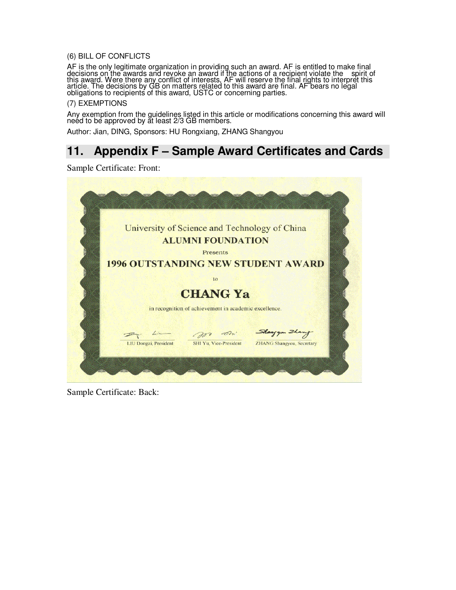### (6) BILL OF CONFLICTS

AF is the only legitimate organization in providing such an award. AF is entitled to make final decisions on the awards and revoke an award if the actions of a recipient violate the spirit of this award. Were there any conflict of interests, AF will reserve the final rights to interpret this article. The decisions by GB on matters related to this award are final. AF bears no legal obligations to recipients of this award, USTC or concerning parties.

### (7) EXEMPTIONS

Any exemption from the guidelines listed in this article or modifications concerning this award will neéd to be approved by ăt least 2/3 GB members.

Author: Jian, DING, Sponsors: HU Rongxiang, ZHANG Shangyou

# **11. Appendix F – Sample Award Certificates and Cards**

Sample Certificate: Front:



Sample Certificate: Back: